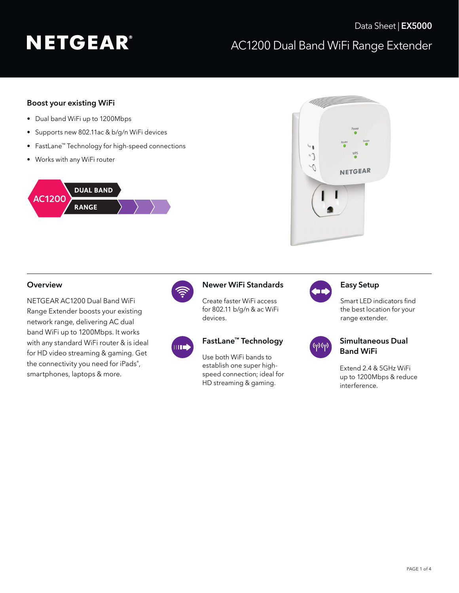#### Boost your existing WiFi

- Dual band WiFi up to 1200Mbps
- Supports new 802.11ac & b/g/n WiFi devices
- FastLane™ Technology for high-speed connections
- Works with any WiFi router





NETGEAR AC1200 Dual Band WiFi Range Extender boosts your existing network range, delivering AC dual band WiFi up to 1200Mbps. It works with any standard WiFi router & is ideal for HD video streaming & gaming. Get the connectivity you need for iPads® , smartphones, laptops & more.



#### Overview **Newer WiFi Standards** Easy Setup

Create faster WiFi access for 802.11 b/g/n & ac WiFi devices.



#### FastLane™ Technology

Use both WiFi bands to establish one super highspeed connection; ideal for HD streaming & gaming.



Smart LED indicators find the best location for your range extender.



### Simultaneous Dual Band WiFi

Extend 2.4 & 5GHz WiFi up to 1200Mbps & reduce interference.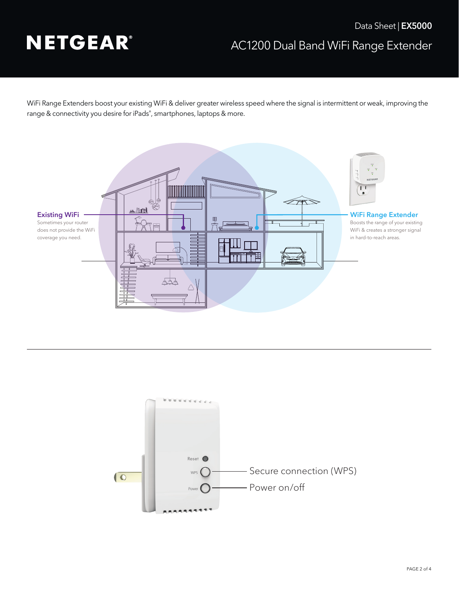### AC1200 Dual Band WiFi Range Extender Data Sheet | **EX5000**

WiFi Range Extenders boost your existing WiFi & deliver greater wireless speed where the signal is intermittent or weak, improving the range & connectivity you desire for iPads® , smartphones, laptops & more.



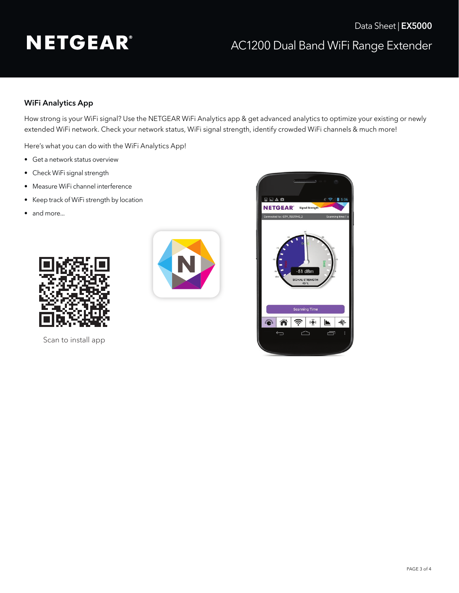### WiFi Analytics App

How strong is your WiFi signal? Use the NETGEAR WiFi Analytics app & get advanced analytics to optimize your existing or newly extended WiFi network. Check your network status, WiFi signal strength, identify crowded WiFi channels & much more!

Here's what you can do with the WiFi Analytics App!

- Get a network status overview
- Check WiFi signal strength
- Measure WiFi channel interference
- Keep track of WiFi strength by location
- and more...



Scan to install app